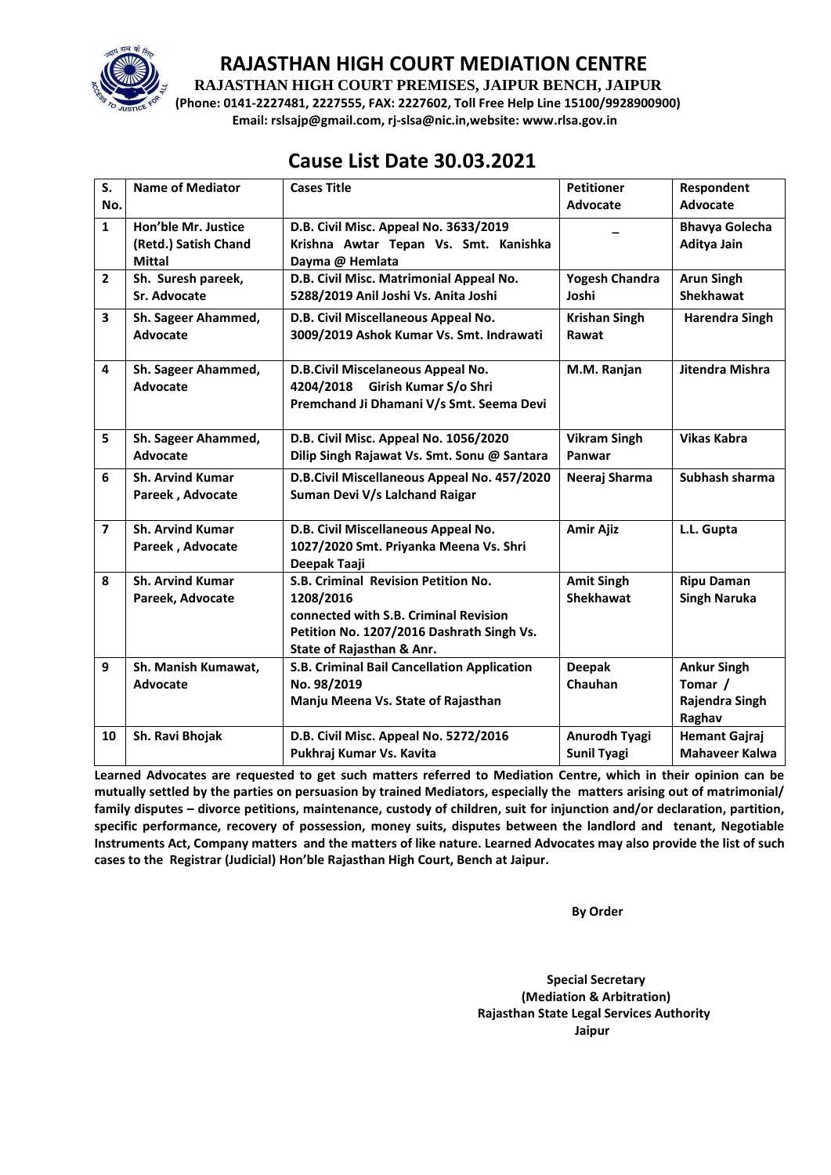

## **RAJASTHAN HIGH COURT MEDIATION CENTRE**

**RAJASTHAN HIGH COURT PREMISES, JAIPUR BENCH, JAIPUR**

**(Phone: 0141-2227481, 2227555, FAX: 2227602, Toll Free Help Line 15100/9928900900) Email: rslsajp@gmail.com, rj-slsa@nic.in,website: www.rlsa.gov.in**

## **Cause List Date 30.03.2021**

| S.                      | <b>Name of Mediator</b>                                      | <b>Cases Title</b>                                                                                                                                                  | <b>Petitioner</b>                          | Respondent                                                |
|-------------------------|--------------------------------------------------------------|---------------------------------------------------------------------------------------------------------------------------------------------------------------------|--------------------------------------------|-----------------------------------------------------------|
| No.                     |                                                              |                                                                                                                                                                     | Advocate                                   | Advocate                                                  |
| $\mathbf{1}$            | Hon'ble Mr. Justice<br>(Retd.) Satish Chand<br><b>Mittal</b> | D.B. Civil Misc. Appeal No. 3633/2019<br>Krishna Awtar Tepan Vs. Smt. Kanishka<br>Dayma @ Hemlata                                                                   |                                            | <b>Bhavya Golecha</b><br>Aditya Jain                      |
| $\overline{2}$          | Sh. Suresh pareek,<br>Sr. Advocate                           | D.B. Civil Misc. Matrimonial Appeal No.<br>5288/2019 Anil Joshi Vs. Anita Joshi                                                                                     | <b>Yogesh Chandra</b><br>Joshi             | <b>Arun Singh</b><br><b>Shekhawat</b>                     |
| 3                       | Sh. Sageer Ahammed,<br>Advocate                              | D.B. Civil Miscellaneous Appeal No.<br>3009/2019 Ashok Kumar Vs. Smt. Indrawati                                                                                     | <b>Krishan Singh</b><br>Rawat              | <b>Harendra Singh</b>                                     |
| 4                       | Sh. Sageer Ahammed,<br><b>Advocate</b>                       | D.B.Civil Miscelaneous Appeal No.<br>4204/2018 Girish Kumar S/o Shri<br>Premchand Ji Dhamani V/s Smt. Seema Devi                                                    | M.M. Ranjan                                | Jitendra Mishra                                           |
| 5                       | Sh. Sageer Ahammed,<br>Advocate                              | D.B. Civil Misc. Appeal No. 1056/2020<br>Dilip Singh Rajawat Vs. Smt. Sonu @ Santara                                                                                | <b>Vikram Singh</b><br>Panwar              | <b>Vikas Kabra</b>                                        |
| 6                       | <b>Sh. Arvind Kumar</b><br>Pareek, Advocate                  | D.B.Civil Miscellaneous Appeal No. 457/2020<br>Suman Devi V/s Lalchand Raigar                                                                                       | Neeraj Sharma                              | Subhash sharma                                            |
| $\overline{\mathbf{z}}$ | <b>Sh. Arvind Kumar</b><br>Pareek, Advocate                  | D.B. Civil Miscellaneous Appeal No.<br>1027/2020 Smt. Priyanka Meena Vs. Shri<br>Deepak Taaji                                                                       | <b>Amir Ajiz</b>                           | L.L. Gupta                                                |
| 8                       | <b>Sh. Arvind Kumar</b><br>Pareek, Advocate                  | S.B. Criminal Revision Petition No.<br>1208/2016<br>connected with S.B. Criminal Revision<br>Petition No. 1207/2016 Dashrath Singh Vs.<br>State of Rajasthan & Anr. | <b>Amit Singh</b><br><b>Shekhawat</b>      | <b>Ripu Daman</b><br><b>Singh Naruka</b>                  |
| 9                       | Sh. Manish Kumawat,<br>Advocate                              | S.B. Criminal Bail Cancellation Application<br>No. 98/2019<br>Manju Meena Vs. State of Rajasthan                                                                    | <b>Deepak</b><br>Chauhan                   | <b>Ankur Singh</b><br>Tomar /<br>Rajendra Singh<br>Raghav |
| 10                      | Sh. Ravi Bhojak                                              | D.B. Civil Misc. Appeal No. 5272/2016<br>Pukhraj Kumar Vs. Kavita                                                                                                   | <b>Anurodh Tyagi</b><br><b>Sunil Tyagi</b> | <b>Hemant Gajraj</b><br><b>Mahaveer Kalwa</b>             |

**Learned Advocates are requested to get such matters referred to Mediation Centre, which in their opinion can be mutually settled by the parties on persuasion by trained Mediators, especially the matters arising out of matrimonial/ family disputes – divorce petitions, maintenance, custody of children, suit for injunction and/or declaration, partition, specific performance, recovery of possession, money suits, disputes between the landlord and tenant, Negotiable Instruments Act, Company matters and the matters of like nature. Learned Advocates may also provide the list of such cases to the Registrar (Judicial) Hon'ble Rajasthan High Court, Bench at Jaipur.** 

**By Order** 

 **Special Secretary (Mediation & Arbitration) Rajasthan State Legal Services Authority Jaipur**